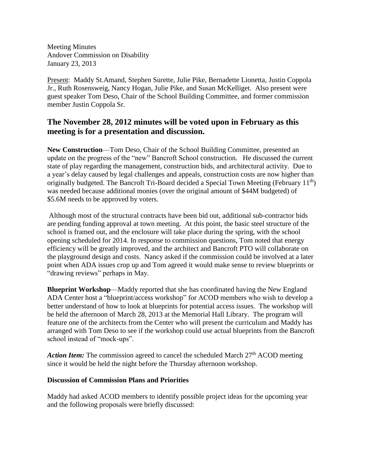Meeting Minutes Andover Commission on Disability January 23, 2013

Present: Maddy St.Amand, Stephen Surette, Julie Pike, Bernadette Lionetta, Justin Coppola Jr., Ruth Rosensweig, Nancy Hogan, Julie Pike, and Susan McKelliget. Also present were guest speaker Tom Deso, Chair of the School Building Committee, and former commission member Justin Coppola Sr.

## **The November 28, 2012 minutes will be voted upon in February as this meeting is for a presentation and discussion.**

**New Construction**—Tom Deso, Chair of the School Building Committee, presented an update on the progress of the "new" Bancroft School construction. He discussed the current state of play regarding the management, construction bids, and architectural activity. Due to a year's delay caused by legal challenges and appeals, construction costs are now higher than originally budgeted. The Bancroft Tri-Board decided a Special Town Meeting (February  $11<sup>th</sup>$ ) was needed because additional monies (over the original amount of \$44M budgeted) of \$5.6M needs to be approved by voters.

Although most of the structural contracts have been bid out, additional sub-contractor bids are pending funding approval at town meeting. At this point, the basic steel structure of the school is framed out, and the enclosure will take place during the spring, with the school opening scheduled for 2014. In response to commission questions, Tom noted that energy efficiency will be greatly improved, and the architect and Bancroft PTO will collaborate on the playground design and costs. Nancy asked if the commission could be involved at a later point when ADA issues crop up and Tom agreed it would make sense to review blueprints or "drawing reviews" perhaps in May.

**Blueprint Workshop**—Maddy reported that she has coordinated having the New England ADA Center host a "blueprint/access workshop" for ACOD members who wish to develop a better understand of how to look at blueprints for potential access issues. The workshop will be held the afternoon of March 28, 2013 at the Memorial Hall Library. The program will feature one of the architects from the Center who will present the curriculum and Maddy has arranged with Tom Deso to see if the workshop could use actual blueprints from the Bancroft school instead of "mock-ups".

*Action Item:* The commission agreed to cancel the scheduled March 27<sup>th</sup> ACOD meeting since it would be held the night before the Thursday afternoon workshop.

## **Discussion of Commission Plans and Priorities**

Maddy had asked ACOD members to identify possible project ideas for the upcoming year and the following proposals were briefly discussed: